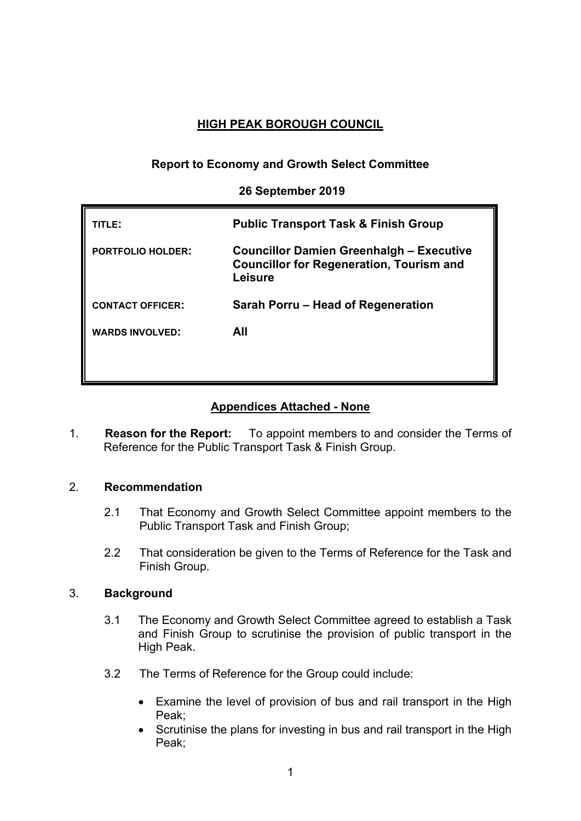# **HIGH PEAK BOROUGH COUNCIL**

# **Report to Economy and Growth Select Committee**

#### **26 September 2019**

| <b>Public Transport Task &amp; Finish Group</b>                                                               |
|---------------------------------------------------------------------------------------------------------------|
| <b>Councillor Damien Greenhalgh - Executive</b><br><b>Councillor for Regeneration, Tourism and</b><br>Leisure |
| Sarah Porru – Head of Regeneration                                                                            |
| All                                                                                                           |
|                                                                                                               |
|                                                                                                               |

## **Appendices Attached - None**

1. **Reason for the Report:** To appoint members to and consider the Terms of Reference for the Public Transport Task & Finish Group.

# 2. **Recommendation**

- 2.1 That Economy and Growth Select Committee appoint members to the Public Transport Task and Finish Group;
- 2.2 That consideration be given to the Terms of Reference for the Task and Finish Group.

#### 3. **Background**

- 3.1 The Economy and Growth Select Committee agreed to establish a Task and Finish Group to scrutinise the provision of public transport in the High Peak.
- 3.2 The Terms of Reference for the Group could include:
	- Examine the level of provision of bus and rail transport in the High Peak;
	- Scrutinise the plans for investing in bus and rail transport in the High Peak;